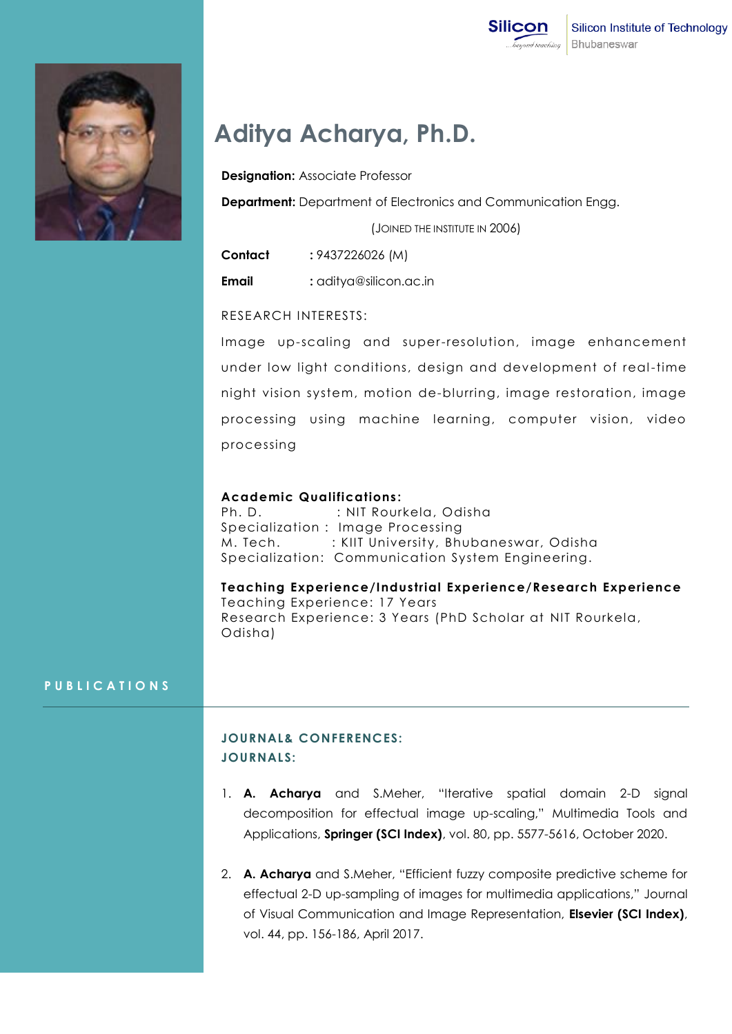

# **Aditya Acharya, Ph.D.**

**Designation:** Associate Professor

**Department:** Department of Electronics and Communication Engg.

(JOINED THE INSTITUTE IN 2006)

**Contact :** 9437226026 (M)

**Email :** aditya@silicon.ac.in

## RESEARCH INTERESTS:

Image up-scaling and super-resolution, image enhancement under low light conditions, design and development of real-time night vision system, motion de-blurring, image restoration, image processing using machine learning, computer vision, video processing

#### **Academic Qualifications :**

Ph. D. : NIT Rourkela, Odisha Specialization : Image Processing M. Tech. : KIIT University, Bhubaneswar, Odisha Specialization: Communication System Engineering.

**Teaching Experience/Industrial Experience/Research Experience** Teaching Experience: 17 Years Research Experience: 3 Years (PhD Scholar at NIT Rourkela, Odisha)

#### **P U B L I C A T I O N S**

# **JOURNAL& CONFERENCES: JOURNALS:**

- 1. **A. Acharya** and S.Meher, "Iterative spatial domain 2-D signal decomposition for effectual image up-scaling," Multimedia Tools and Applications, **Springer (SCI Index)**, vol. 80, pp. 5577-5616, October 2020.
- 2. **A. Acharya** and S.Meher, "Efficient fuzzy composite predictive scheme for effectual 2-D up-sampling of images for multimedia applications," Journal of Visual Communication and Image Representation, **Elsevier (SCI Index)**, vol. 44, pp. 156-186, April 2017.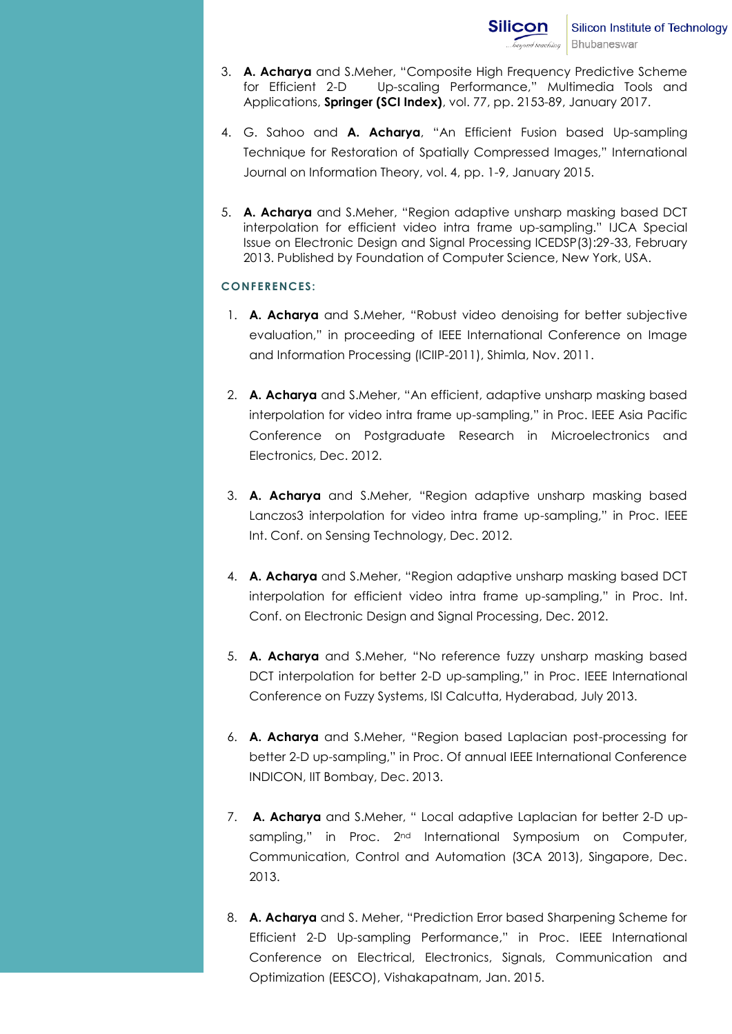- 3. **A. Acharya** and S.Meher, "Composite High Frequency Predictive Scheme for Efficient 2-D Up-scaling Performance," Multimedia Tools and Applications, **Springer (SCI Index)**, vol. 77, pp. 2153-89, January 2017.
- 4. G. Sahoo and **A. Acharya**, "An Efficient Fusion based Up-sampling Technique for Restoration of Spatially Compressed Images," International Journal on Information Theory, vol. 4, pp. 1-9, January 2015.
- 5. **A. Acharya** and S.Meher, "Region adaptive unsharp masking based DCT interpolation for efficient video intra frame up-sampling." IJCA Special Issue on Electronic Design and Signal Processing ICEDSP(3):29-33, February 2013. Published by Foundation of Computer Science, New York, USA.

#### **CONFERENCES:**

- 1. **A. Acharya** and S.Meher, "Robust video denoising for better subjective evaluation," in proceeding of IEEE International Conference on Image and Information Processing (ICIIP-2011), Shimla, Nov. 2011.
- 2. **A. Acharya** and S.Meher, "An efficient, adaptive unsharp masking based interpolation for video intra frame up-sampling," in Proc. IEEE Asia Pacific Conference on Postgraduate Research in Microelectronics and Electronics, Dec. 2012.
- 3. **A. Acharya** and S.Meher, "Region adaptive unsharp masking based Lanczos3 interpolation for video intra frame up-sampling," in Proc. IEEE Int. Conf. on Sensing Technology, Dec. 2012.
- 4. **A. Acharya** and S.Meher, "Region adaptive unsharp masking based DCT interpolation for efficient video intra frame up-sampling," in Proc. Int. Conf. on Electronic Design and Signal Processing, Dec. 2012.
- 5. **A. Acharya** and S.Meher, "No reference fuzzy unsharp masking based DCT interpolation for better 2-D up-sampling," in Proc. IEEE International Conference on Fuzzy Systems, ISI Calcutta, Hyderabad, July 2013.
- 6. **A. Acharya** and S.Meher, "Region based Laplacian post-processing for better 2-D up-sampling," in Proc. Of annual IEEE International Conference INDICON, IIT Bombay, Dec. 2013.
- 7. **A. Acharya** and S.Meher, " Local adaptive Laplacian for better 2-D upsampling," in Proc. 2<sup>nd</sup> International Symposium on Computer, Communication, Control and Automation (3CA 2013), Singapore, Dec. 2013.
- 8. **A. Acharya** and S. Meher, "Prediction Error based Sharpening Scheme for Efficient 2-D Up-sampling Performance," in Proc. IEEE International Conference on Electrical, Electronics, Signals, Communication and Optimization (EESCO), Vishakapatnam, Jan. 2015.